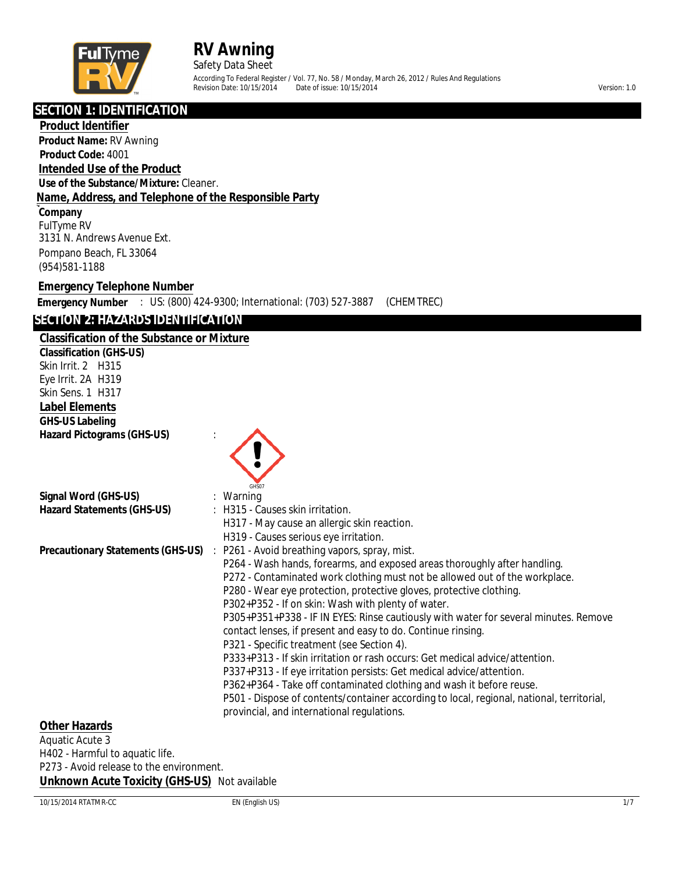

Safety Data Sheet

According To Federal Register / Vol. 77, No. 58 / Monday, March 26, 2012 / Rules And Regulations Partie of issue:  $10/15/2014$  Version: 1.0

**SECTION 1: IDENTIFICATION**

#### **Product Identifier**

**Product Name:** RV Awning **Product Code:** 4001

**Intended Use of the Product**

**Use of the Substance/Mixture:** Cleaner.

## **Name, Address, and Telephone of the Responsible Party**

**Company** FulTyme RV 3131 N. Andrews Avenue Ext. Pompano Beach, FL 33064 (954)581-1188

## **Emergency Telephone Number**

**Emergency Number** : US: (800) 424-9300; International: (703) 527-3887 (CHEMTREC)

## **SECTION 2: HAZARDS IDENTIFICATION**

## **Classification of the Substance or Mixture**

**Classification (GHS-US)** Skin Irrit. 2 H315 Eye Irrit. 2A H319 Skin Sens. 1 H317 **Label Elements GHS-US Labeling Hazard Pictograms (GHS-US)** :

|                                   | GHS07                                                                                     |
|-----------------------------------|-------------------------------------------------------------------------------------------|
| Signal Word (GHS-US)              | $:$ Warning                                                                               |
| <b>Hazard Statements (GHS-US)</b> | : H315 - Causes skin irritation.                                                          |
|                                   | H317 - May cause an allergic skin reaction.                                               |
|                                   | H319 - Causes serious eye irritation.                                                     |
|                                   | <b>Precautionary Statements (GHS-US)</b> : P261 - Avoid breathing vapors, spray, mist.    |
|                                   | P264 - Wash hands, forearms, and exposed areas thoroughly after handling.                 |
|                                   | P272 - Contaminated work clothing must not be allowed out of the workplace.               |
|                                   | P280 - Wear eye protection, protective gloves, protective clothing.                       |
|                                   | P302+P352 - If on skin: Wash with plenty of water.                                        |
|                                   | P305+P351+P338 - IF IN EYES: Rinse cautiously with water for several minutes. Remove      |
|                                   | contact lenses, if present and easy to do. Continue rinsing.                              |
|                                   | P321 - Specific treatment (see Section 4).                                                |
|                                   | P333+P313 - If skin irritation or rash occurs: Get medical advice/attention.              |
|                                   | P337+P313 - If eye irritation persists: Get medical advice/attention.                     |
|                                   | P362+P364 - Take off contaminated clothing and wash it before reuse.                      |
|                                   | P501 - Dispose of contents/container according to local, regional, national, territorial, |
|                                   | provincial, and international regulations.                                                |

### **Other Hazards**

Aquatic Acute 3 H402 - Harmful to aquatic life. P273 - Avoid release to the environment. **Unknown Acute Toxicity (GHS-US)** Not available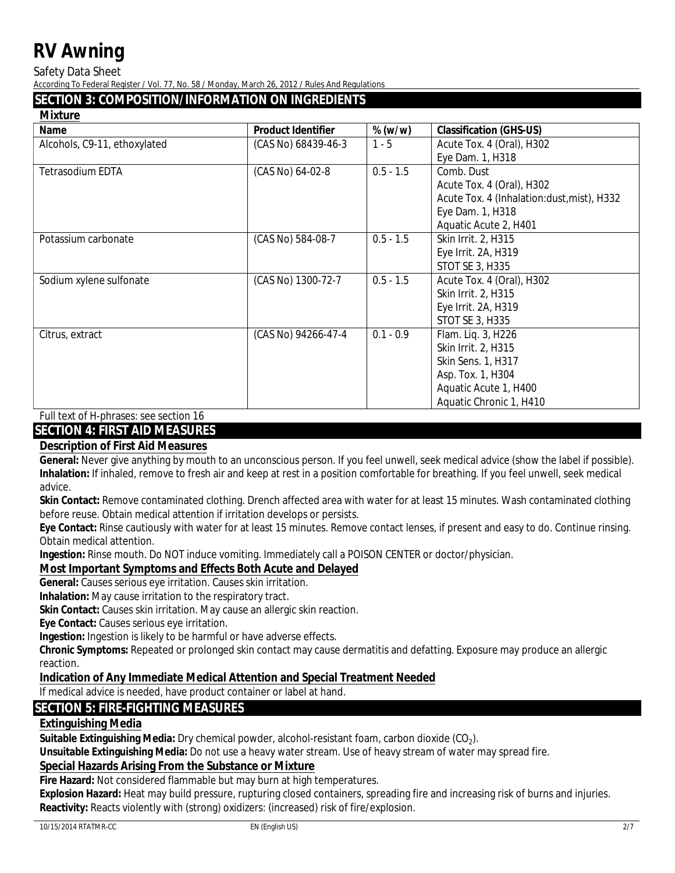**Safety Data Sheet** 

According To Federal Register / Vol. 77, No. 58 / Monday, March 26, 2012 / Rules And Regulations

## **SECTION 3: COMPOSITION/INFORMATION ON INGREDIENTS**

**Mixture** 

| <b>Name</b>                  | <b>Product Identifier</b> | $\%$ (w/w)  | <b>Classification (GHS-US)</b>             |
|------------------------------|---------------------------|-------------|--------------------------------------------|
| Alcohols, C9-11, ethoxylated | (CAS No) 68439-46-3       | $1 - 5$     | Acute Tox. 4 (Oral), H302                  |
|                              |                           |             | Eye Dam. 1, H318                           |
| <b>Tetrasodium EDTA</b>      | (CAS No) 64-02-8          | $0.5 - 1.5$ | Comb. Dust                                 |
|                              |                           |             | Acute Tox. 4 (Oral), H302                  |
|                              |                           |             | Acute Tox. 4 (Inhalation:dust, mist), H332 |
|                              |                           |             | Eye Dam. 1, H318                           |
|                              |                           |             | <b>Aquatic Acute 2, H401</b>               |
| Potassium carbonate          | (CAS No) 584-08-7         | $0.5 - 1.5$ | <b>Skin Irrit. 2, H315</b>                 |
|                              |                           |             | Eye Irrit. 2A, H319                        |
|                              |                           |             | <b>STOT SE 3, H335</b>                     |
| Sodium xylene sulfonate      | (CAS No) 1300-72-7        | $0.5 - 1.5$ | Acute Tox. 4 (Oral), H302                  |
|                              |                           |             | <b>Skin Irrit. 2, H315</b>                 |
|                              |                           |             | Eye Irrit. 2A, H319                        |
|                              |                           |             | <b>STOT SE 3, H335</b>                     |
| Citrus, extract              | (CAS No) 94266-47-4       | $0.1 - 0.9$ | Flam. Liq. 3, H226                         |
|                              |                           |             | <b>Skin Irrit. 2, H315</b>                 |
|                              |                           |             | <b>Skin Sens. 1, H317</b>                  |
|                              |                           |             | Asp. Tox. 1, H304                          |
|                              |                           |             | <b>Aquatic Acute 1, H400</b>               |
|                              |                           |             | <b>Aquatic Chronic 1, H410</b>             |

**Full text of H-phrases: see section 16** 

## **SECTION 4: FIRST AID MEASURES**

## **Description of First Aid Measures**

**General:** Never give anything by mouth to an unconscious person. If you feel unwell, seek medical advice (show the label if possible). Inhalation: If inhaled, remove to fresh air and keep at rest in a position comfortable for breathing. If you feel unwell, seek medical advice.

Skin Contact: Remove contaminated clothing. Drench affected area with water for at least 15 minutes. Wash contaminated clothing before reuse. Obtain medical attention if irritation develops or persists.

Eye Contact: Rinse cautiously with water for at least 15 minutes. Remove contact lenses, if present and easy to do. Continue rinsing. Obtain medical attention.

**Ingestion:** Rinse mouth. Do NOT induce vomiting. Immediately call a POISON CENTER or doctor/physician.

## **Most Important Symptoms and Effects Both Acute and Delayed**

General: Causes serious eye irritation. Causes skin irritation.

**Inhalation:** May cause irritation to the respiratory tract.

Skin Contact: Causes skin irritation. May cause an allergic skin reaction.

**Eye Contact: Causes serious eye irritation.** 

Ingestion: Ingestion is likely to be harmful or have adverse effects.

**Chronic Symptoms:** Repeated or prolonged skin contact may cause dermatitis and defatting. Exposure may produce an allergic reaction.

## **Indication of Any Immediate Medical Attention and Special Treatment Needed**

If medical advice is needed, have product container or label at hand.

## **SECTION 5: FIRE-FIGHTING MEASURES**

## **Extinguishing Media**

Suitable Extinguishing Media: Dry chemical powder, alcohol-resistant foam, carbon dioxide (CO<sub>2</sub>).

Unsuitable Extinguishing Media: Do not use a heavy water stream. Use of heavy stream of water may spread fire.

## **Special Hazards Arising From the Substance or Mixture**

Fire Hazard: Not considered flammable but may burn at high temperatures.

Explosion Hazard: Heat may build pressure, rupturing closed containers, spreading fire and increasing risk of burns and injuries. **Reactivity:** Reacts violently with (strong) oxidizers: (increased) risk of fire/explosion.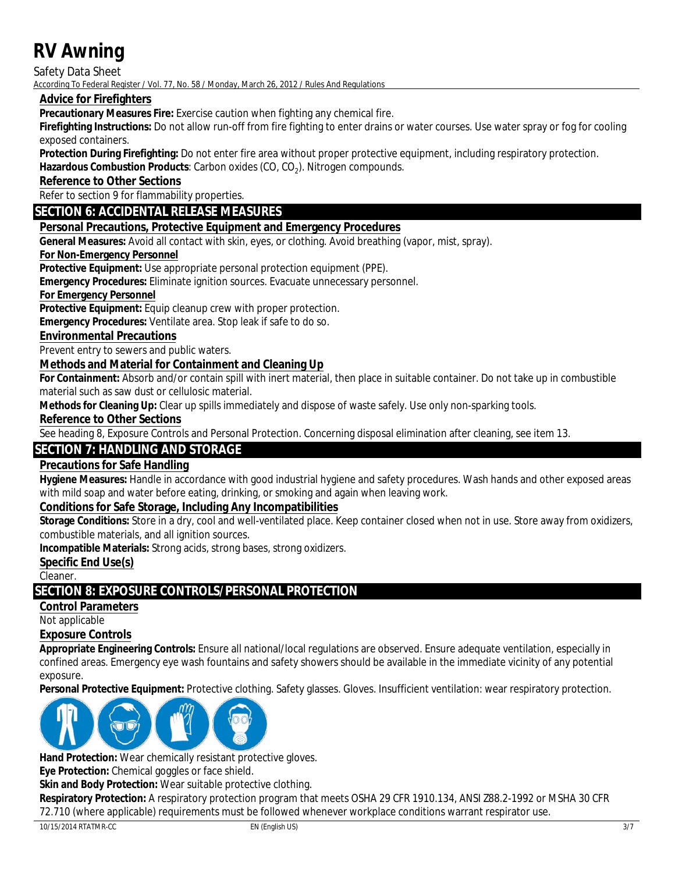**Safety Data Sheet** 

According To Federal Register / Vol. 77, No. 58 / Monday, March 26, 2012 / Rules And Regulations

## **Advice for Firefighters**

Precautionary Measures Fire: Exercise caution when fighting any chemical fire.

Firefighting Instructions: Do not allow run-off from fire fighting to enter drains or water courses. Use water spray or fog for cooling exposed containers.

Protection During Firefighting: Do not enter fire area without proper protective equipment, including respiratory protection.

Hazardous Combustion Products: Carbon oxides (CO, CO<sub>2</sub>). Nitrogen compounds.

**Reference to Other Sections** 

Refer to section 9 for flammability properties.

## **SECTION 6: ACCIDENTAL RELEASE MEASURES**

## **Personal Precautions, Protective Equipment and Emergency Procedures**

**General Measures:** Avoid all contact with skin, eyes, or clothing. Avoid breathing (vapor, mist, spray).

## **For Non-Emergency Personnel**

**Protective Equipment:** Use appropriate personal protection equipment (PPE).

**Emergency Procedures:** Eliminate ignition sources. Evacuate unnecessary personnel.

### **For Emergency Personnel**

**Protective Equipment: Equip cleanup crew with proper protection.** 

Emergency Procedures: Ventilate area. Stop leak if safe to do so.

## **Environmental Precautions**

Prevent entry to sewers and public waters.

## **Methods and Material for Containment and Cleaning Up**

For Containment: Absorb and/or contain spill with inert material, then place in suitable container. Do not take up in combustible material such as saw dust or cellulosic material.

Methods for Cleaning Up: Clear up spills immediately and dispose of waste safely. Use only non-sparking tools.

**Reference to Other Sections** 

See heading 8, Exposure Controls and Personal Protection. Concerning disposal elimination after cleaning, see item 13.

## **SECTION 7: HANDLING AND STORAGE**

## **Precautions for Safe Handling**

Hygiene Measures: Handle in accordance with good industrial hygiene and safety procedures. Wash hands and other exposed areas with mild soap and water before eating, drinking, or smoking and again when leaving work.

### **Conditions for Safe Storage, Including Any Incompatibilities**

Storage Conditions: Store in a dry, cool and well-ventilated place. Keep container closed when not in use. Store away from oxidizers, combustible materials, and all ignition sources.

**Incompatible Materials:** Strong acids, strong bases, strong oxidizers.

### **Specific End Use(s)**

Cleaner.

## **SECTION 8: EXPOSURE CONTROLS/PERSONAL PROTECTION**

## **Control Parameters**

Not applicable

### **Exposure Controls**

Appropriate Engineering Controls: Ensure all national/local regulations are observed. Ensure adequate ventilation, especially in confined areas. Emergency eye wash fountains and safety showers should be available in the immediate vicinity of any potential exposure.

Personal Protective Equipment: Protective clothing. Safety glasses. Gloves. Insufficient ventilation: wear respiratory protection.



Hand Protection: Wear chemically resistant protective gloves.

Eve Protection: Chemical goggles or face shield.

Skin and Body Protection: Wear suitable protective clothing.

Respiratory Protection: A respiratory protection program that meets OSHA 29 CFR 1910.134, ANSI Z88.2-1992 or MSHA 30 CFR 72.710 (where applicable) requirements must be followed whenever workplace conditions warrant respirator use.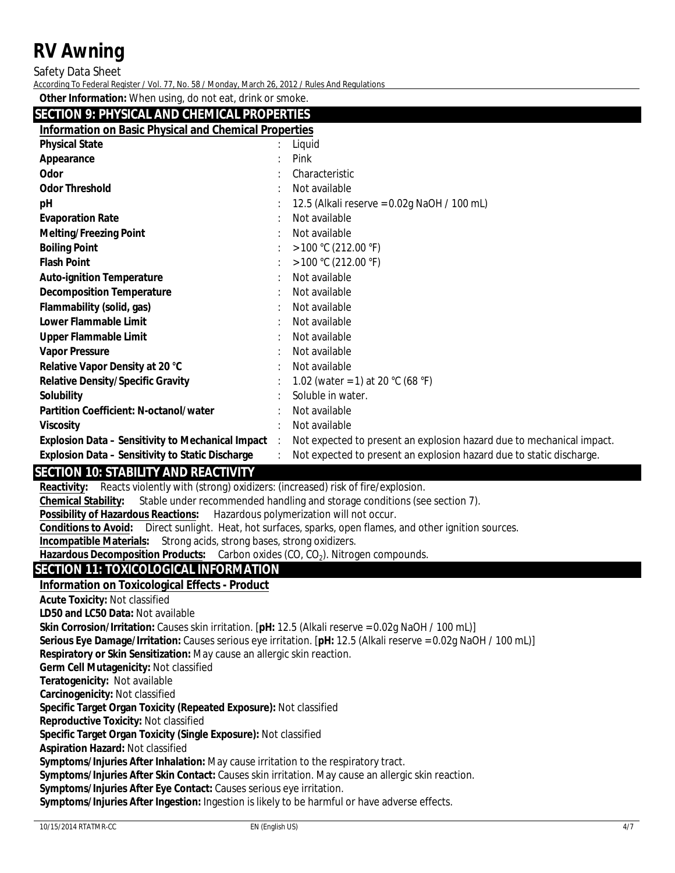**Safety Data Sheet** 

According To Federal Register / Vol. 77, No. 58 / Monday, March 26, 2012 / Rules And Regulations

Other Information: When using, do not eat, drink or smoke.

## **SECTION 9. PHYSICAL AND CHEMICAL PROPERTIES**

| <u>SECHON 3. FHLSKABAND CHEMIKABITKOI BIVILIS</u>            |         |                                                                       |  |  |  |
|--------------------------------------------------------------|---------|-----------------------------------------------------------------------|--|--|--|
| <b>Information on Basic Physical and Chemical Properties</b> |         |                                                                       |  |  |  |
| <b>Physical State</b>                                        |         | Liquid                                                                |  |  |  |
| <b>Appearance</b>                                            |         | Pink                                                                  |  |  |  |
| <b>Odor</b>                                                  |         | <b>Characteristic</b>                                                 |  |  |  |
| <b>Odor Threshold</b>                                        |         | Not available                                                         |  |  |  |
| pН                                                           |         | 12.5 (Alkali reserve = $0.02$ g NaOH / 100 mL)                        |  |  |  |
| <b>Evaporation Rate</b>                                      |         | Not available                                                         |  |  |  |
| <b>Melting/Freezing Point</b>                                |         | Not available                                                         |  |  |  |
| <b>Boiling Point</b>                                         |         | >100 °C (212.00 °F)                                                   |  |  |  |
| <b>Flash Point</b>                                           |         | $>100$ °C (212.00 °F)                                                 |  |  |  |
| <b>Auto-ignition Temperature</b>                             |         | Not available                                                         |  |  |  |
| <b>Decomposition Temperature</b>                             |         | Not available                                                         |  |  |  |
| <b>Flammability (solid, gas)</b>                             |         | Not available                                                         |  |  |  |
| <b>Lower Flammable Limit</b>                                 |         | Not available                                                         |  |  |  |
| <b>Upper Flammable Limit</b>                                 |         | Not available                                                         |  |  |  |
| <b>Vapor Pressure</b>                                        |         | Not available                                                         |  |  |  |
| <b>Relative Vapor Density at 20 °C</b>                       |         | Not available                                                         |  |  |  |
| <b>Relative Density/Specific Gravity</b>                     |         | 1.02 (water = 1) at 20 °C (68 °F)                                     |  |  |  |
| <b>Solubility</b>                                            |         | Soluble in water.                                                     |  |  |  |
| <b>Partition Coefficient: N-octanol/water</b>                |         | Not available                                                         |  |  |  |
| <b>Viscosity</b>                                             |         | Not available                                                         |  |  |  |
| <b>Explosion Data - Sensitivity to Mechanical Impact</b>     | $\cdot$ | Not expected to present an explosion hazard due to mechanical impact. |  |  |  |
| <b>Explosion Data - Sensitivity to Static Discharge</b>      |         | Not expected to present an explosion hazard due to static discharge.  |  |  |  |

## **SECTION 10: STABILITY AND REACTIVITY**

**Reactivity:** Reacts violently with (strong) oxidizers: (increased) risk of fire/explosion. Stable under recommended handling and storage conditions (see section 7). **Chemical Stability: Possibility of Hazardous Reactions:** Hazardous polymerization will not occur. Conditions to Avoid: Direct sunlight. Heat, hot surfaces, sparks, open flames, and other ignition sources. **Incompatible Materials:** Strong acids, strong bases, strong oxidizers. Hazardous Decomposition Products: Carbon oxides (CO, CO<sub>2</sub>). Nitrogen compounds. **SECTION 11: TOXICOLOGICAL INFORMATION Information on Toxicological Effects - Product Acute Toxicity: Not classified ID50 and IC50 Data: Not available Skin Corrosion/Irritation:** Causes skin irritation. [pH: 12.5 (Alkali reserve =  $0.02g$  NaOH / 100 mL)] **Serious Eye Damage/Initation:** Causes serious eye irritation. [pH: 12.5 (Alkali reserve =  $0.02g$  NaOH / 100 mL)] Respiratory or Skin Sensitization: May cause an allergic skin reaction. **Germ Cell Mutagenicity: Not classified Teratogenicity: Not available Carcinogenicity: Not classified** Specific Target Organ Toxicity (Repeated Exposure): Not classified **Reproductive Toxicity: Not classified** Specific Target Organ Toxicity (Single Exposure): Not classified **Aspiration Hazard: Not classified** Symptoms/Injuries After Inhalation: May cause irritation to the respiratory tract. Symptoms/Injuries After Skin Contact: Causes skin irritation. May cause an allergic skin reaction. Symptoms/Injuries After Eye Contact: Causes serious eye irritation. Symptoms/Injuries After Ingestion: Ingestion is likely to be harmful or have adverse effects.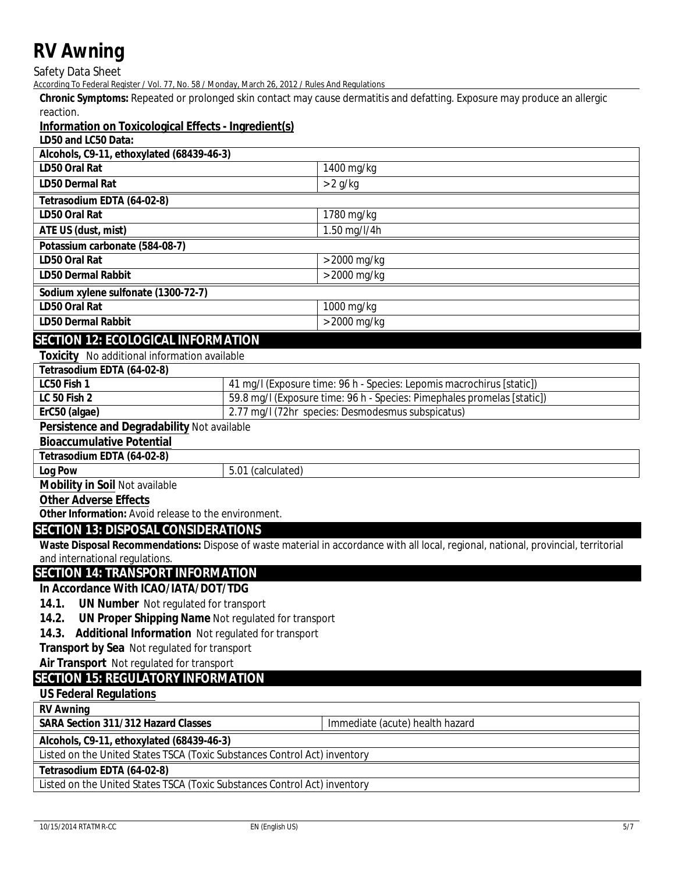Safety Data Sheet

According To Federal Register / Vol. 77, No. 58 / Monday, March 26, 2012 / Rules And Regulations

**Chronic Symptoms:** Repeated or prolonged skin contact may cause dermatitis and defatting. Exposure may produce an allergic reaction.

## **Information on Toxicological Effects - Ingredient(s)**

**LD50 and LC50 Data:**

| Alcohols, C9-11, ethoxylated (68439-46-3) |                |
|-------------------------------------------|----------------|
| <b>ID50 Oral Rat</b>                      | $1400$ mg/kg   |
| <b>ID50 Dermal Rat</b>                    | $> 2$ g/kg     |
| Tetrasodium EDTA (64-02-8)                |                |
| <b>ID50 Oral Rat</b>                      | $1780$ mg/kg   |
| <b>ATE US (dust, mist)</b>                | $1.50$ mg/l/4h |
| Potassium carbonate (584-08-7)            |                |
| <b>ID50 Oral Rat</b>                      | $>$ 2000 mg/kg |
| <b>ID50 Dermal Rabbit</b>                 | $>$ 2000 mg/kg |
| Sodium xylene sulfonate (1300-72-7)       |                |
| <b>ID50 Oral Rat</b>                      | $1000$ mg/kg   |
| <b>ID50 Dermal Rabbit</b>                 | $>$ 2000 mg/kg |

## **SECTION 12: ECOLOGICAL INFORMATION**

|  | <b>Toxicity</b> No additional information available |  |
|--|-----------------------------------------------------|--|
|--|-----------------------------------------------------|--|

| Tetrasodium EDTA (64-02-8) |                                                                            |
|----------------------------|----------------------------------------------------------------------------|
| <b>IC50 Fish 1</b>         | 41 mg/l (Exposure time: 96 h - Species: Lepomis macrochirus [static])      |
| <b>IC 50 Fish 2</b>        | 59.8 mg/l (Exposure time: 96 h - Species: Pimephales promelas [static])    |
| ErC50 (algae)              | $2.77 \text{ mg}/1(72 \text{hr} \text{ species: Desmodesmus subspicatus})$ |

#### **Persistence and Degradability** Not available

**Bioaccumulative Potential**

## **Tetrasodium EDTA (64-02-8)**

**Log Pow** 5.01 (calculated)

## **Mobility in Soil** Not available

**Other Adverse Effects**

**Other Information:** Avoid release to the environment.

## **SECTION 13: DISPOSAL CONSIDERATIONS**

**Waste Disposal Recommendations:** Dispose of waste material in accordance with all local, regional, national, provincial, territorial and international regulations.

Immediate (acute) health hazard

## **SECTION 14: TRANSPORT INFORMATION**

## **In Accordance With ICAO/IATA/DOT/TDG**

- **14.1. UN Number** Not regulated for transport
- **14.2. UN Proper Shipping Name** Not regulated for transport
- **14.3. Additional Information** Not regulated for transport

**Transport by Sea** Not regulated for transport

**Air Transport** Not regulated for transport

## **SECTION 15: REGULATORY INFORMATION**

## **US Federal Regulations**

**RV Awning**

**SARA Section 311/312 Hazard Classes** 

**Alcohols, C9-11, ethoxylated (68439-46-3)**

Listed on the United States TSCA (Toxic Substances Control Act) inventory

**Tetrasodium EDTA (64-02-8)**

Listed on the United States TSCA (Toxic Substances Control Act) inventory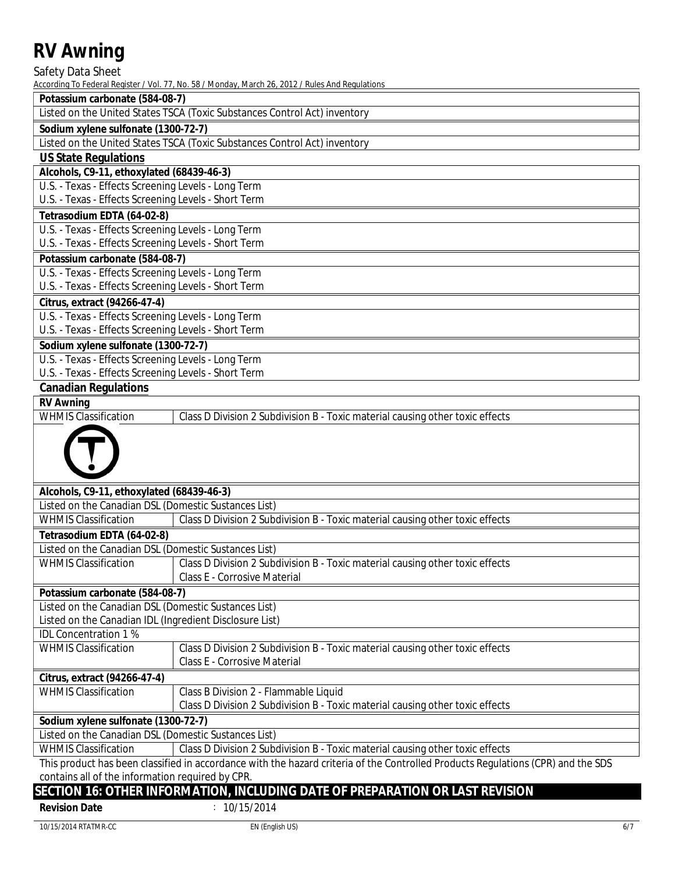Safety Data Sheet

According To Federal Register / Vol. 77, No. 58 / Monday, March 26, 2012 / Rules And Regulations

| Potassium carbonate (584-08-7) |  |
|--------------------------------|--|
|                                |  |

Listed on the United States TSCA (Toxic Substances Control Act) inventory

### **Sodium xylene sulfonate (1300-72-7)**

Listed on the United States TSCA (Toxic Substances Control Act) inventory

## **US State Regulations**

### **Alcohols, C9-11, ethoxylated (68439-46-3)**

U.S. - Texas - Effects Screening Levels - Long Term

U.S. - Texas - Effects Screening Levels - Short Term

## **Tetrasodium EDTA (64-02-8)**

U.S. - Texas - Effects Screening Levels - Long Term U.S. - Texas - Effects Screening Levels - Short Term

## **Potassium carbonate (584-08-7)**

U.S. - Texas - Effects Screening Levels - Long Term U.S. - Texas - Effects Screening Levels - Short Term

**Citrus, extract (94266-47-4)**

U.S. - Texas - Effects Screening Levels - Long Term

U.S. - Texas - Effects Screening Levels - Short Term

## **Sodium xylene sulfonate (1300-72-7)**

U.S. - Texas - Effects Screening Levels - Long Term U.S. - Texas - Effects Screening Levels - Short Term

## **Canadian Regulations**

## **RV Awning**

WHMIS Classification | Class D Division 2 Subdivision B - Toxic material causing other toxic effects



| Alcohols, C9-11, ethoxylated (68439-46-3) |  |  |                                                                                            |  |
|-------------------------------------------|--|--|--------------------------------------------------------------------------------------------|--|
|                                           |  |  |                                                                                            |  |
|                                           |  |  | $\mathbf{v}$ , and $\mathbf{v}$ is the second of $\mathbf{v}$ . The second of $\mathbf{v}$ |  |

| Listed on the Canadian DSL (Domestic Sustances List) |                                                                                           |  |
|------------------------------------------------------|-------------------------------------------------------------------------------------------|--|
| WHMIS Classification                                 | $\parallel$ Class D Division 2 Subdivision B - Toxic material causing other toxic effects |  |

| Tetrasodium EDTA (64-02-8) |  |
|----------------------------|--|

| <b>Listed on the Canadian DSL (Domestic Sustances List)</b> |                                                                               |  |
|-------------------------------------------------------------|-------------------------------------------------------------------------------|--|
| <b>WHMIS Classification</b>                                 | Class D Division 2 Subdivision B - Toxic material causing other toxic effects |  |

## Class E - Corrosive Material I

**Potassium carbonate (584-08-7)**

Listed on the Canadian DSL (Domestic Sustances List)

Listed on the Canadian IDL (Ingredient Disclosure List) IDL Concentration 1 %

WHMIS Classification **Class D Division 2 Subdivision B** - Toxic material causing other toxic effects

Class E - Corrosive Material

**Citrus, extract (94266-47-4)** WHMIS Classification | Class B Division 2 - Flammable Liquid

Class D Division 2 Subdivision B - Toxic material causing other toxic effects I

**Sodium xylene sulfonate (1300-72-7)**

Listed on the Canadian DSL (Domestic Sustances List)

WHMIS Classification Class D Division 2 Subdivision B - Toxic material causing other toxic effects I

This product has been classified in accordance with the hazard criteria of the Controlled Products Regulations (CPR) and the SDS contains all of the information required by CPR.

## **SECTION 16: OTHER INFORMATION, INCLUDING DATE OF PREPARATION OR LAST REVISION Revision Date** : 10/15/2014